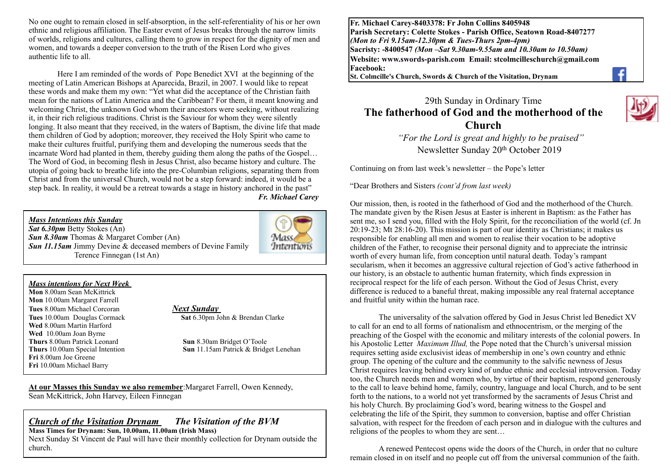No one ought to remain closed in self-absorption, in the self-referentiality of his or her own ethnic and religious affiliation. The Easter event of Jesus breaks through the narrow limits of worlds, religions and cultures, calling them to grow in respect for the dignity of men and women, and towards a deeper conversion to the truth of the Risen Lord who gives authentic life to all.

Here I am reminded of the words of Pope Benedict XVI at the beginning of the meeting of Latin American Bishops at Aparecida, Brazil, in 2007. I would like to repeat these words and make them my own: "Yet what did the acceptance of the Christian faith mean for the nations of Latin America and the Caribbean? For them, it meant knowing and welcoming Christ, the unknown God whom their ancestors were seeking, without realizing it, in their rich religious traditions. Christ is the Saviour for whom they were silently longing. It also meant that they received, in the waters of Baptism, the divine life that made them children of God by adoption; moreover, they received the Holy Spirit who came to make their cultures fruitful, purifying them and developing the numerous seeds that the incarnate Word had planted in them, thereby guiding them along the paths of the Gospel… The Word of God, in becoming flesh in Jesus Christ, also became history and culture. The utopia of going back to breathe life into the pre-Columbian religions, separating them from Christ and from the universal Church, would not be a step forward: indeed, it would be a step back. In reality, it would be a retreat towards a stage in history anchored in the past" *Fr. Michael Carey*

*Mass Intentions this Sunday Sat 6.30pm* Betty Stokes (An) *Sun 8.30am* Thomas & Margaret Comber (An) *Sun 11.15am Jimmy Devine & deceased members of Devine Family* Terence Finnegan (1st An)



#### *Mass intentions for Next Week*

**Mon** 8.00am Sean McKittrick **Mon** 10.00am Margaret Farrell **Tues** 8.00am Michael Corcoran *Next Sunday*  **Wed** 8.00am Martin Harford **Wed** 10.00am Joan Byrne **Thurs** 8.00am Patrick Leonard **Sun** 8.30am Bridget O'Toole **Fri** 8.00am Joe Greene **Fri** 10.00am Michael Barry

**Tues** 10.00am Douglas Cormack **Sat** 6.30pm John & Brendan Clarke

**Thurs** 10.00am Special Intention **Sun** 11.15am Patrick & Bridget Lenehan

**At our Masses this Sunday we also remember**:Margaret Farrell, Owen Kennedy, Sean McKittrick, John Harvey, Eileen Finnegan

#### *Church of the Visitation Drynam**The Visitation of the BVM* **Mass Times for Drynam: Sun, 10.00am, 11.00am (Irish Mass)**

Next Sunday St Vincent de Paul will have their monthly collection for Drynam outside the church.

**Fr. Michael Carey-8403378: Fr John Collins 8405948 Parish Secretary: Colette Stokes - Parish Office, Seatown Road-8407277**  *(Mon to Fri 9.15am-12.30pm & Tues-Thurs 2pm-4pm)*  **Sacristy: -8400547** *(Mon –Sat 9.30am-9.55am and 10.30am to 10.50am)* **Website: [www.swords-parish.com Email:](http://www.swords-parish.com%20%20email) stcolmcilleschurch@gmail.com Facebook:** 

**St. Colmcille's Church, Swords & Church of the Visitation, Drynam**



# 29th Sunday in Ordinary Time **The fatherhood of God and the motherhood of the Church**

 *"For the Lord is great and highly to be praised"*  Newsletter Sunday 20th October 2019

Continuing on from last week's newsletter – the Pope's letter

"Dear Brothers and Sisters *(cont'd from last week)*

Our mission, then, is rooted in the fatherhood of God and the motherhood of the Church. The mandate given by the Risen Jesus at Easter is inherent in Baptism: as the Father has sent me, so I send you, filled with the Holy Spirit, for the reconciliation of the world (cf. Jn 20:19-23; Mt 28:16-20). This mission is part of our identity as Christians; it makes us responsible for enabling all men and women to realise their vocation to be adoptive children of the Father, to recognise their personal dignity and to appreciate the intrinsic worth of every human life, from conception until natural death. Today's rampant secularism, when it becomes an aggressive cultural rejection of God's active fatherhood in our history, is an obstacle to authentic human fraternity, which finds expression in reciprocal respect for the life of each person. Without the God of Jesus Christ, every difference is reduced to a baneful threat, making impossible any real fraternal acceptance and fruitful unity within the human race.

The universality of the salvation offered by God in Jesus Christ led Benedict XV to call for an end to all forms of nationalism and ethnocentrism, or the merging of the preaching of the Gospel with the economic and military interests of the colonial powers. In his Apostolic Letter *Maximum Illud,* the Pope noted that the Church's universal mission requires setting aside exclusivist ideas of membership in one's own country and ethnic group. The opening of the culture and the community to the salvific newness of Jesus Christ requires leaving behind every kind of undue ethnic and ecclesial introversion. Today too, the Church needs men and women who, by virtue of their baptism, respond generously to the call to leave behind home, family, country, language and local Church, and to be sent forth to the nations, to a world not yet transformed by the sacraments of Jesus Christ and his holy Church. By proclaiming God's word, bearing witness to the Gospel and celebrating the life of the Spirit, they summon to conversion, baptise and offer Christian salvation, with respect for the freedom of each person and in dialogue with the cultures and religions of the peoples to whom they are sent…

 A renewed Pentecost opens wide the doors of the Church, in order that no culture remain closed in on itself and no people cut off from the universal communion of the faith.